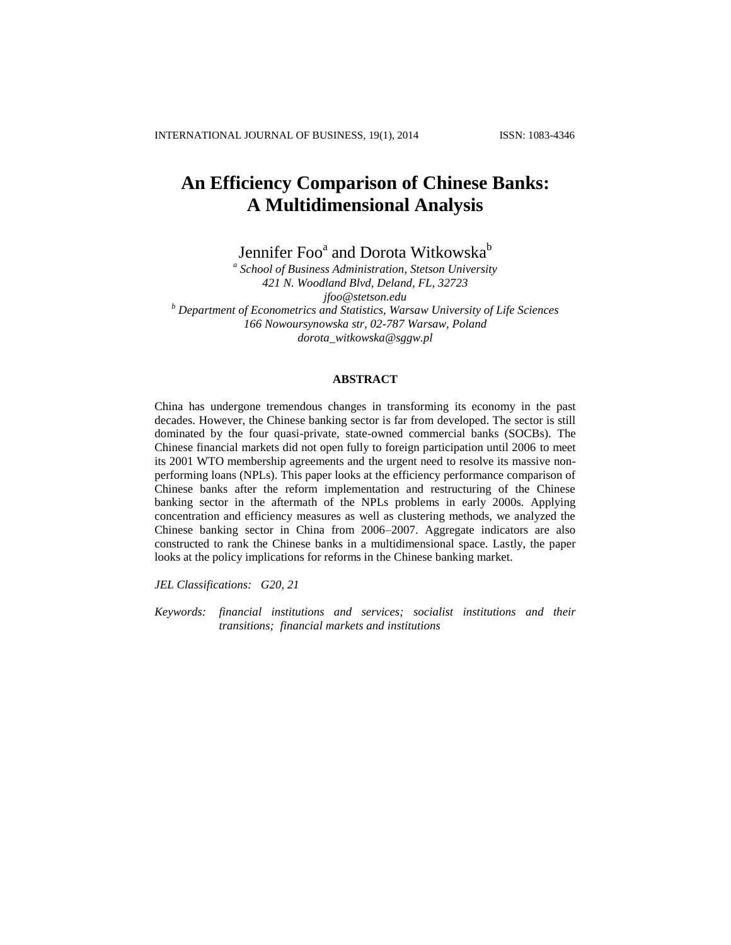# **An Efficiency Comparison of Chinese Banks: A Multidimensional Analysis**

Jennifer Foo<sup>a</sup> and Dorota Witkowska<sup>b</sup>

*a School of Business Administration, Stetson University 421 N. Woodland Blvd, Deland, FL, 32723 jfoo@stetson.edu <sup>b</sup> Department of Econometrics and Statistics, Warsaw University of Life Sciences 166 Nowoursynowska str, 02-787 Warsaw, Poland dorota\_witkowska@sggw.pl*

## **ABSTRACT**

China has undergone tremendous changes in transforming its economy in the past decades. However, the Chinese banking sector is far from developed. The sector is still dominated by the four quasi-private, state-owned commercial banks (SOCBs). The Chinese financial markets did not open fully to foreign participation until 2006 to meet its 2001 WTO membership agreements and the urgent need to resolve its massive nonperforming loans (NPLs). This paper looks at the efficiency performance comparison of Chinese banks after the reform implementation and restructuring of the Chinese banking sector in the aftermath of the NPLs problems in early 2000s. Applying concentration and efficiency measures as well as clustering methods, we analyzed the Chinese banking sector in China from 2006–2007. Aggregate indicators are also constructed to rank the Chinese banks in a multidimensional space. Lastly, the paper looks at the policy implications for reforms in the Chinese banking market.

*JEL Classifications: G20, 21*

*Keywords: financial institutions and services; socialist institutions and their transitions; financial markets and institutions*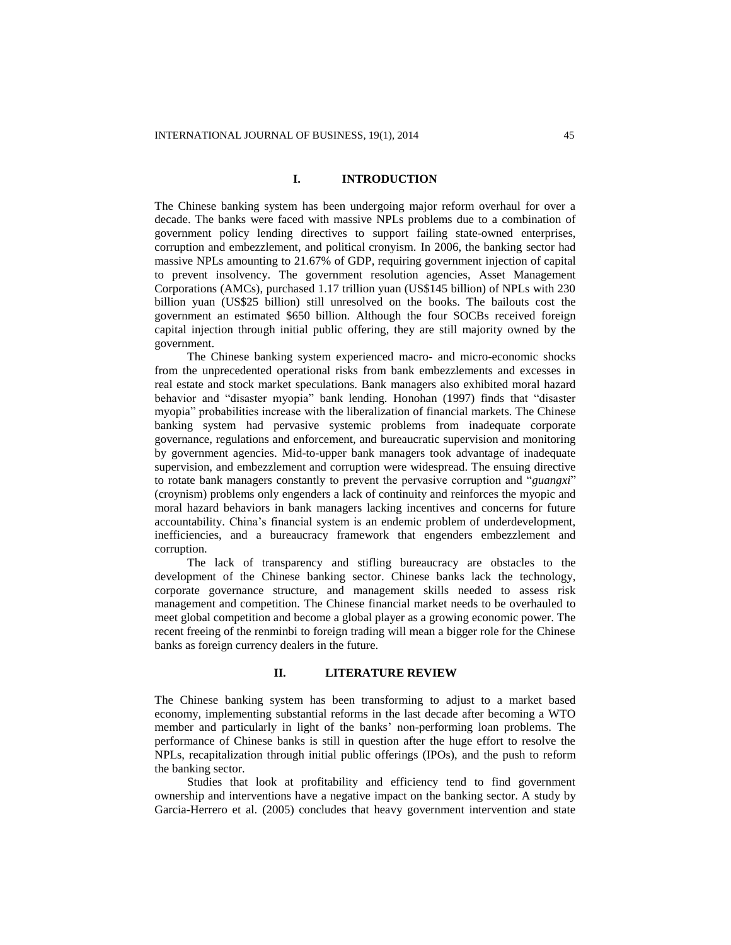## **I. INTRODUCTION**

The Chinese banking system has been undergoing major reform overhaul for over a decade. The banks were faced with massive NPLs problems due to a combination of government policy lending directives to support failing state-owned enterprises, corruption and embezzlement, and political cronyism. In 2006, the banking sector had massive NPLs amounting to 21.67% of GDP, requiring government injection of capital to prevent insolvency. The government resolution agencies, Asset Management Corporations (AMCs), purchased 1.17 trillion yuan (US\$145 billion) of NPLs with 230 billion yuan (US\$25 billion) still unresolved on the books. The bailouts cost the government an estimated \$650 billion. Although the four SOCBs received foreign capital injection through initial public offering, they are still majority owned by the government.

The Chinese banking system experienced macro- and micro-economic shocks from the unprecedented operational risks from bank embezzlements and excesses in real estate and stock market speculations. Bank managers also exhibited moral hazard behavior and "disaster myopia" bank lending. Honohan (1997) finds that "disaster myopia" probabilities increase with the liberalization of financial markets. The Chinese banking system had pervasive systemic problems from inadequate corporate governance, regulations and enforcement, and bureaucratic supervision and monitoring by government agencies. Mid-to-upper bank managers took advantage of inadequate supervision, and embezzlement and corruption were widespread. The ensuing directive to rotate bank managers constantly to prevent the pervasive corruption and "*guangxi*" (croynism) problems only engenders a lack of continuity and reinforces the myopic and moral hazard behaviors in bank managers lacking incentives and concerns for future accountability. China's financial system is an endemic problem of underdevelopment, inefficiencies, and a bureaucracy framework that engenders embezzlement and corruption.

The lack of transparency and stifling bureaucracy are obstacles to the development of the Chinese banking sector. Chinese banks lack the technology, corporate governance structure, and management skills needed to assess risk management and competition. The Chinese financial market needs to be overhauled to meet global competition and become a global player as a growing economic power. The recent freeing of the renminbi to foreign trading will mean a bigger role for the Chinese banks as foreign currency dealers in the future.

## **II. LITERATURE REVIEW**

The Chinese banking system has been transforming to adjust to a market based economy, implementing substantial reforms in the last decade after becoming a WTO member and particularly in light of the banks' non-performing loan problems. The performance of Chinese banks is still in question after the huge effort to resolve the NPLs, recapitalization through initial public offerings (IPOs), and the push to reform the banking sector.

Studies that look at profitability and efficiency tend to find government ownership and interventions have a negative impact on the banking sector. A study by Garcia-Herrero et al. (2005) concludes that heavy government intervention and state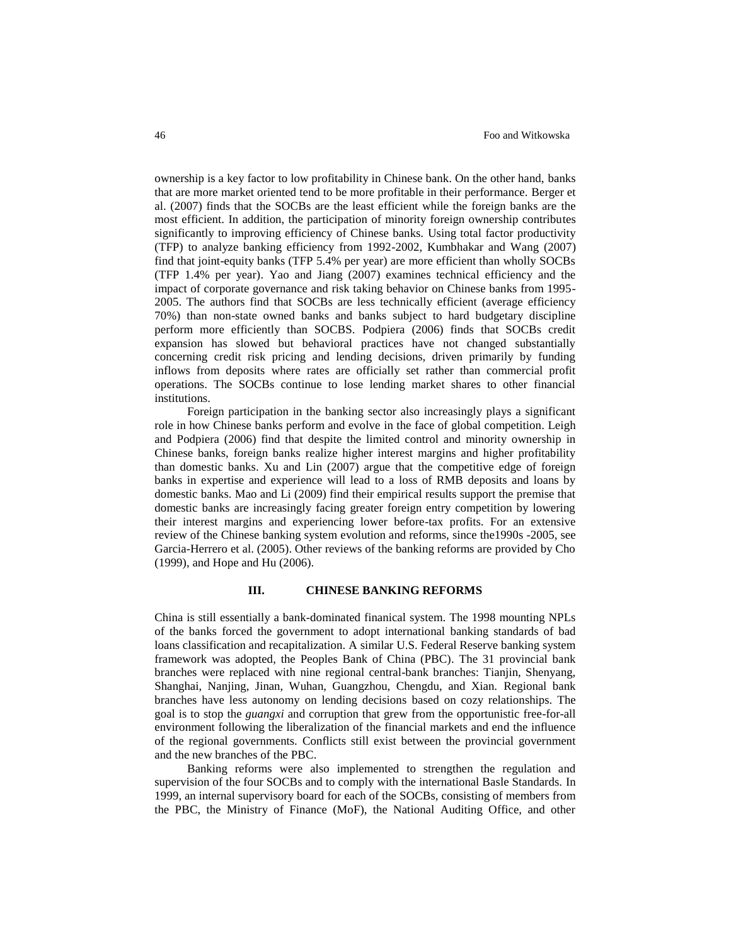ownership is a key factor to low profitability in Chinese bank. On the other hand, banks that are more market oriented tend to be more profitable in their performance. Berger et al. (2007) finds that the SOCBs are the least efficient while the foreign banks are the most efficient. In addition, the participation of minority foreign ownership contributes significantly to improving efficiency of Chinese banks. Using total factor productivity (TFP) to analyze banking efficiency from 1992-2002, Kumbhakar and Wang (2007) find that joint-equity banks (TFP 5.4% per year) are more efficient than wholly SOCBs (TFP 1.4% per year). Yao and Jiang (2007) examines technical efficiency and the impact of corporate governance and risk taking behavior on Chinese banks from 1995- 2005. The authors find that SOCBs are less technically efficient (average efficiency 70%) than non-state owned banks and banks subject to hard budgetary discipline perform more efficiently than SOCBS. Podpiera (2006) finds that SOCBs credit expansion has slowed but behavioral practices have not changed substantially concerning credit risk pricing and lending decisions, driven primarily by funding inflows from deposits where rates are officially set rather than commercial profit operations. The SOCBs continue to lose lending market shares to other financial institutions.

Foreign participation in the banking sector also increasingly plays a significant role in how Chinese banks perform and evolve in the face of global competition. Leigh and Podpiera (2006) find that despite the limited control and minority ownership in Chinese banks, foreign banks realize higher interest margins and higher profitability than domestic banks. Xu and Lin (2007) argue that the competitive edge of foreign banks in expertise and experience will lead to a loss of RMB deposits and loans by domestic banks. Mao and Li (2009) find their empirical results support the premise that domestic banks are increasingly facing greater foreign entry competition by lowering their interest margins and experiencing lower before-tax profits. For an extensive review of the Chinese banking system evolution and reforms, since the1990s -2005, see Garcia-Herrero et al. (2005). Other reviews of the banking reforms are provided by Cho (1999), and Hope and Hu (2006).

### **III. CHINESE BANKING REFORMS**

China is still essentially a bank-dominated finanical system. The 1998 mounting NPLs of the banks forced the government to adopt international banking standards of bad loans classification and recapitalization. A similar U.S. Federal Reserve banking system framework was adopted, the Peoples Bank of China (PBC). The 31 provincial bank branches were replaced with nine regional central-bank branches: Tianjin, Shenyang, Shanghai, Nanjing, Jinan, Wuhan, Guangzhou, Chengdu, and Xian. Regional bank branches have less autonomy on lending decisions based on cozy relationships. The goal is to stop the *guangxi* and corruption that grew from the opportunistic free-for-all environment following the liberalization of the financial markets and end the influence of the regional governments. Conflicts still exist between the provincial government and the new branches of the PBC.

Banking reforms were also implemented to strengthen the regulation and supervision of the four SOCBs and to comply with the international Basle Standards. In 1999, an internal supervisory board for each of the SOCBs, consisting of members from the PBC, the Ministry of Finance (MoF), the National Auditing Office, and other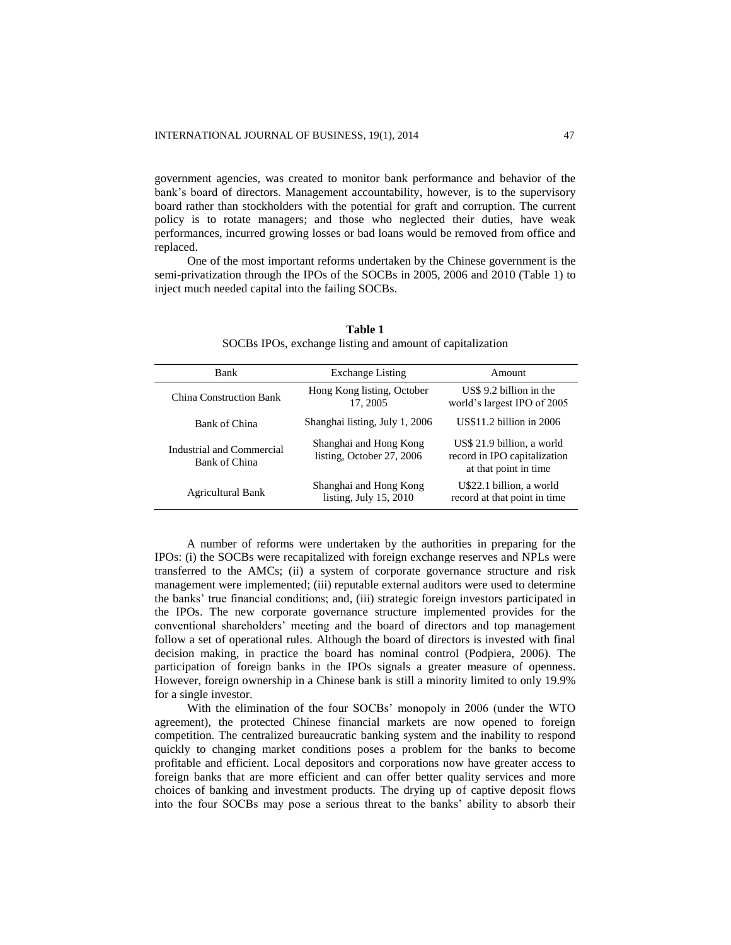government agencies, was created to monitor bank performance and behavior of the bank's board of directors. Management accountability, however, is to the supervisory board rather than stockholders with the potential for graft and corruption. The current policy is to rotate managers; and those who neglected their duties, have weak performances, incurred growing losses or bad loans would be removed from office and replaced.

One of the most important reforms undertaken by the Chinese government is the semi-privatization through the IPOs of the SOCBs in 2005, 2006 and 2010 (Table 1) to inject much needed capital into the failing SOCBs.

| Bank                                       | <b>Exchange Listing</b>                             | Amount                                                                              |
|--------------------------------------------|-----------------------------------------------------|-------------------------------------------------------------------------------------|
| China Construction Bank                    | Hong Kong listing, October<br>17, 2005              | US\$ 9.2 billion in the<br>world's largest IPO of 2005                              |
| Bank of China                              | Shanghai listing, July 1, 2006                      | US\$11.2 billion in 2006                                                            |
| Industrial and Commercial<br>Bank of China | Shanghai and Hong Kong<br>listing, October 27, 2006 | US\$ 21.9 billion, a world<br>record in IPO capitalization<br>at that point in time |
| <b>Agricultural Bank</b>                   | Shanghai and Hong Kong<br>listing, July $15, 2010$  | U\$22.1 billion, a world<br>record at that point in time                            |

**Table 1** SOCBs IPOs, exchange listing and amount of capitalization

A number of reforms were undertaken by the authorities in preparing for the IPOs: (i) the SOCBs were recapitalized with foreign exchange reserves and NPLs were transferred to the AMCs; (ii) a system of corporate governance structure and risk management were implemented; (iii) reputable external auditors were used to determine the banks' true financial conditions; and, (iii) strategic foreign investors participated in the IPOs. The new corporate governance structure implemented provides for the conventional shareholders' meeting and the board of directors and top management follow a set of operational rules. Although the board of directors is invested with final decision making, in practice the board has nominal control (Podpiera, 2006). The participation of foreign banks in the IPOs signals a greater measure of openness. However, foreign ownership in a Chinese bank is still a minority limited to only 19.9% for a single investor.

With the elimination of the four SOCBs' monopoly in 2006 (under the WTO agreement), the protected Chinese financial markets are now opened to foreign competition. The centralized bureaucratic banking system and the inability to respond quickly to changing market conditions poses a problem for the banks to become profitable and efficient. Local depositors and corporations now have greater access to foreign banks that are more efficient and can offer better quality services and more choices of banking and investment products. The drying up of captive deposit flows into the four SOCBs may pose a serious threat to the banks' ability to absorb their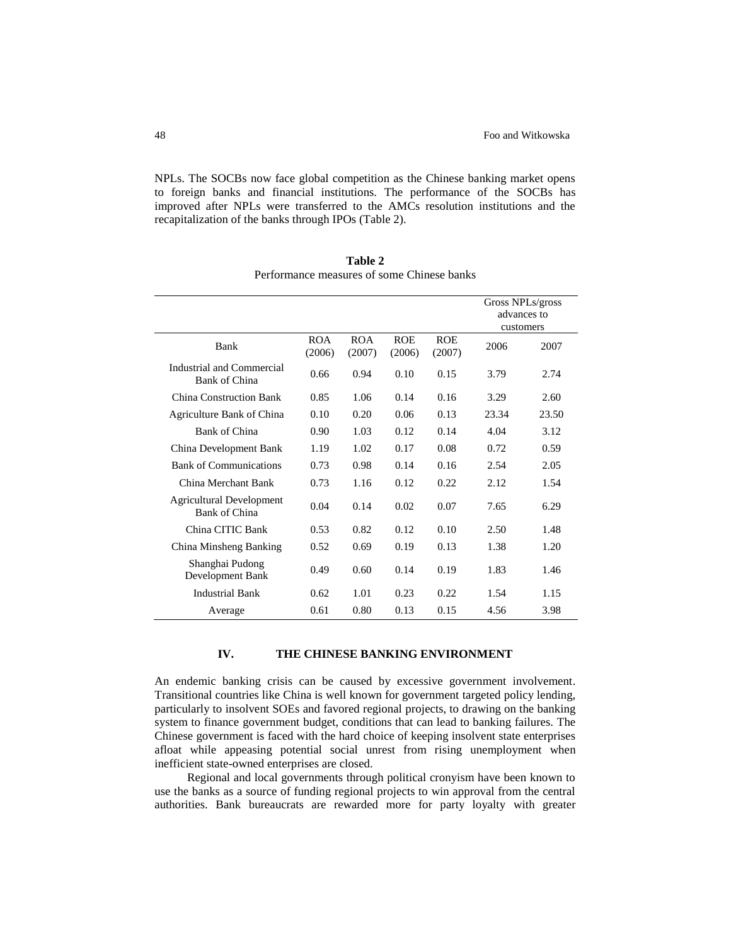NPLs. The SOCBs now face global competition as the Chinese banking market opens to foreign banks and financial institutions. The performance of the SOCBs has improved after NPLs were transferred to the AMCs resolution institutions and the recapitalization of the banks through IPOs (Table 2).

|                                                  |                      |                      |                      |                      | advances to<br>customers | Gross NPLs/gross |
|--------------------------------------------------|----------------------|----------------------|----------------------|----------------------|--------------------------|------------------|
| Bank                                             | <b>ROA</b><br>(2006) | <b>ROA</b><br>(2007) | <b>ROE</b><br>(2006) | <b>ROE</b><br>(2007) | 2006                     | 2007             |
| Industrial and Commercial<br>Bank of China       | 0.66                 | 0.94                 | 0.10                 | 0.15                 | 3.79                     | 2.74             |
| China Construction Bank                          | 0.85                 | 1.06                 | 0.14                 | 0.16                 | 3.29                     | 2.60             |
| Agriculture Bank of China                        | 0.10                 | 0.20                 | 0.06                 | 0.13                 | 23.34                    | 23.50            |
| Bank of China                                    | 0.90                 | 1.03                 | 0.12                 | 0.14                 | 4.04                     | 3.12             |
| China Development Bank                           | 1.19                 | 1.02                 | 0.17                 | 0.08                 | 0.72                     | 0.59             |
| <b>Bank of Communications</b>                    | 0.73                 | 0.98                 | 0.14                 | 0.16                 | 2.54                     | 2.05             |
| China Merchant Bank                              | 0.73                 | 1.16                 | 0.12                 | 0.22.                | 2.12                     | 1.54             |
| <b>Agricultural Development</b><br>Bank of China | 0.04                 | 0.14                 | 0.02                 | 0.07                 | 7.65                     | 6.29             |
| China CITIC Bank                                 | 0.53                 | 0.82                 | 0.12                 | 0.10                 | 2.50                     | 1.48             |
| China Minsheng Banking                           | 0.52                 | 0.69                 | 0.19                 | 0.13                 | 1.38                     | 1.20             |
| Shanghai Pudong<br>Development Bank              | 0.49                 | 0.60                 | 0.14                 | 0.19                 | 1.83                     | 1.46             |
| <b>Industrial Bank</b>                           | 0.62                 | 1.01                 | 0.23                 | 0.22                 | 1.54                     | 1.15             |
| Average                                          | 0.61                 | 0.80                 | 0.13                 | 0.15                 | 4.56                     | 3.98             |

**Table 2** Performance measures of some Chinese banks

# **IV. THE CHINESE BANKING ENVIRONMENT**

An endemic banking crisis can be caused by excessive government involvement. Transitional countries like China is well known for government targeted policy lending, particularly to insolvent SOEs and favored regional projects, to drawing on the banking system to finance government budget, conditions that can lead to banking failures. The Chinese government is faced with the hard choice of keeping insolvent state enterprises afloat while appeasing potential social unrest from rising unemployment when inefficient state-owned enterprises are closed.

Regional and local governments through political cronyism have been known to use the banks as a source of funding regional projects to win approval from the central authorities. Bank bureaucrats are rewarded more for party loyalty with greater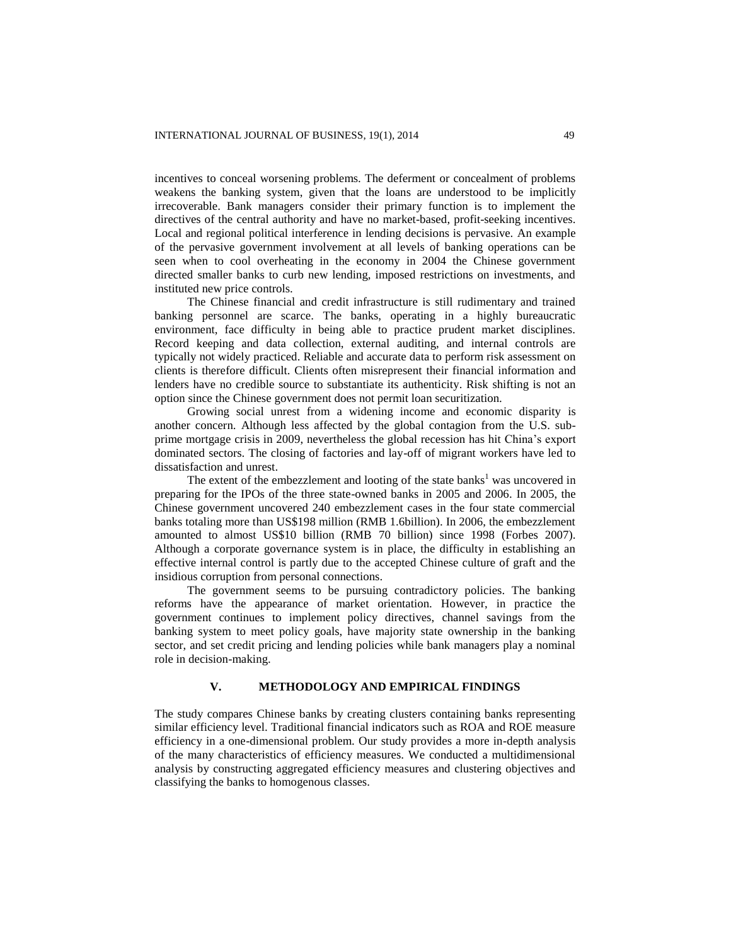incentives to conceal worsening problems. The deferment or concealment of problems weakens the banking system, given that the loans are understood to be implicitly irrecoverable. Bank managers consider their primary function is to implement the directives of the central authority and have no market-based, profit-seeking incentives. Local and regional political interference in lending decisions is pervasive. An example of the pervasive government involvement at all levels of banking operations can be seen when to cool overheating in the economy in 2004 the Chinese government directed smaller banks to curb new lending, imposed restrictions on investments, and instituted new price controls.

The Chinese financial and credit infrastructure is still rudimentary and trained banking personnel are scarce. The banks, operating in a highly bureaucratic environment, face difficulty in being able to practice prudent market disciplines. Record keeping and data collection, external auditing, and internal controls are typically not widely practiced. Reliable and accurate data to perform risk assessment on clients is therefore difficult. Clients often misrepresent their financial information and lenders have no credible source to substantiate its authenticity. Risk shifting is not an option since the Chinese government does not permit loan securitization.

Growing social unrest from a widening income and economic disparity is another concern. Although less affected by the global contagion from the U.S. subprime mortgage crisis in 2009, nevertheless the global recession has hit China's export dominated sectors. The closing of factories and lay-off of migrant workers have led to dissatisfaction and unrest.

The extent of the embezzlement and looting of the state banks<sup>1</sup> was uncovered in preparing for the IPOs of the three state-owned banks in 2005 and 2006. In 2005, the Chinese government uncovered 240 embezzlement cases in the four state commercial banks totaling more than US\$198 million (RMB 1.6billion). In 2006, the embezzlement amounted to almost US\$10 billion (RMB 70 billion) since 1998 (Forbes 2007). Although a corporate governance system is in place, the difficulty in establishing an effective internal control is partly due to the accepted Chinese culture of graft and the insidious corruption from personal connections.

The government seems to be pursuing contradictory policies. The banking reforms have the appearance of market orientation. However, in practice the government continues to implement policy directives, channel savings from the banking system to meet policy goals, have majority state ownership in the banking sector, and set credit pricing and lending policies while bank managers play a nominal role in decision-making.

# **V. METHODOLOGY AND EMPIRICAL FINDINGS**

The study compares Chinese banks by creating clusters containing banks representing similar efficiency level. Traditional financial indicators such as ROA and ROE measure efficiency in a one-dimensional problem. Our study provides a more in-depth analysis of the many characteristics of efficiency measures. We conducted a multidimensional analysis by constructing aggregated efficiency measures and clustering objectives and classifying the banks to homogenous classes.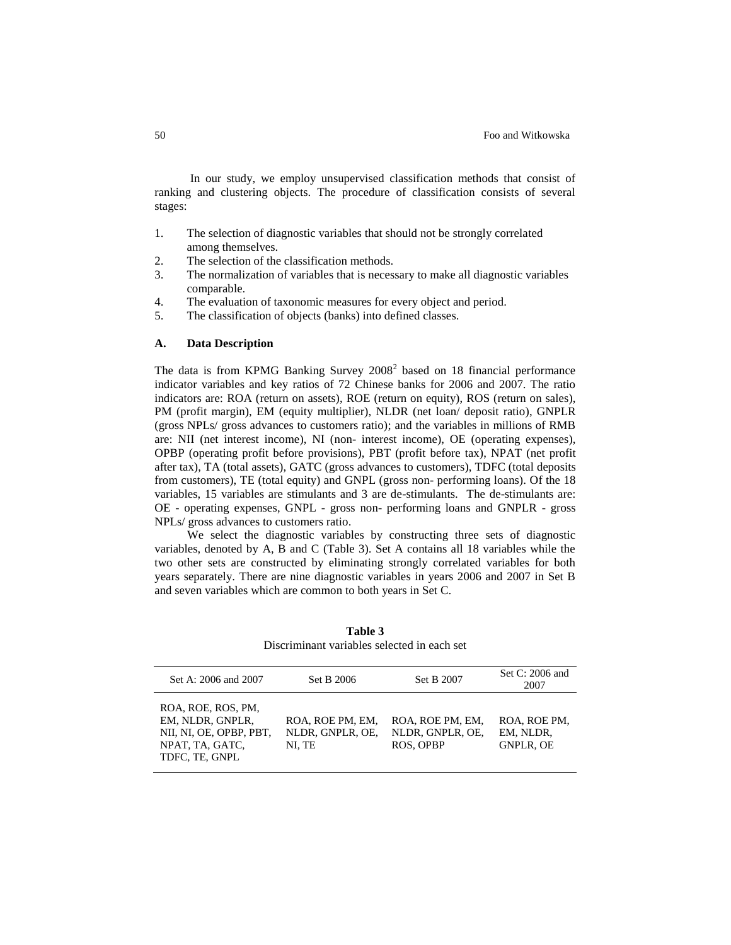In our study, we employ unsupervised classification methods that consist of ranking and clustering objects. The procedure of classification consists of several stages:

- 1. The selection of diagnostic variables that should not be strongly correlated among themselves.
- 2. The selection of the classification methods.
- 3. The normalization of variables that is necessary to make all diagnostic variables comparable.
- 4. The evaluation of taxonomic measures for every object and period.
- 5. The classification of objects (banks) into defined classes.

## **A. Data Description**

The data is from KPMG Banking Survey  $2008<sup>2</sup>$  based on 18 financial performance indicator variables and key ratios of 72 Chinese banks for 2006 and 2007. The ratio indicators are: ROA (return on assets), ROE (return on equity), ROS (return on sales), PM (profit margin), EM (equity multiplier), NLDR (net loan/ deposit ratio), GNPLR (gross NPLs/ gross advances to customers ratio); and the variables in millions of RMB are: NII (net interest income), NI (non- interest income), OE (operating expenses), OPBP (operating profit before provisions), PBT (profit before tax), NPAT (net profit after tax), TA (total assets), GATC (gross advances to customers), TDFC (total deposits from customers), TE (total equity) and GNPL (gross non- performing loans). Of the 18 variables, 15 variables are stimulants and 3 are de-stimulants. The de-stimulants are: OE - operating expenses, GNPL - gross non- performing loans and GNPLR - gross NPLs/ gross advances to customers ratio.

We select the diagnostic variables by constructing three sets of diagnostic variables, denoted by A, B and C (Table 3). Set A contains all 18 variables while the two other sets are constructed by eliminating strongly correlated variables for both years separately. There are nine diagnostic variables in years 2006 and 2007 in Set B and seven variables which are common to both years in Set C.

| Set A: 2006 and 2007                                                                                   | Set B 2006                                     | Set B 2007                                        | Set C: 2006 and<br>2007                       |
|--------------------------------------------------------------------------------------------------------|------------------------------------------------|---------------------------------------------------|-----------------------------------------------|
| ROA, ROE, ROS, PM,<br>EM, NLDR, GNPLR,<br>NII, NI, OE, OPBP, PBT,<br>NPAT, TA, GATC,<br>TDFC, TE, GNPL | ROA, ROE PM, EM,<br>NLDR, GNPLR, OE,<br>NI. TE | ROA, ROE PM, EM,<br>NLDR, GNPLR, OE,<br>ROS, OPBP | ROA, ROE PM,<br>EM, NLDR,<br><b>GNPLR, OE</b> |

**Table 3** Discriminant variables selected in each set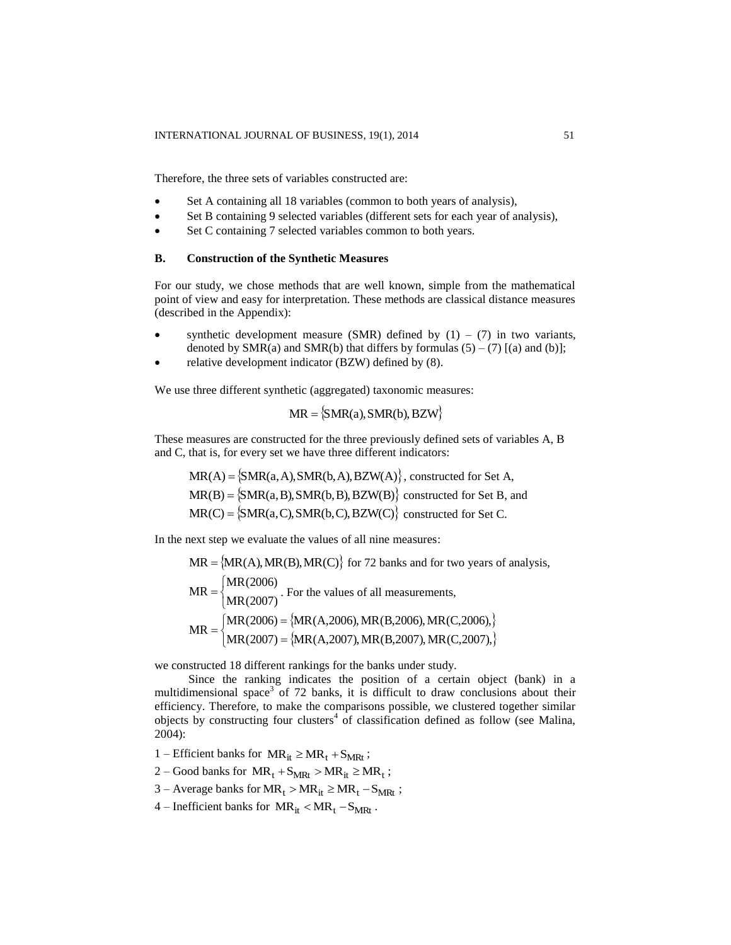Therefore, the three sets of variables constructed are:

- Set A containing all 18 variables (common to both years of analysis),
- Set B containing 9 selected variables (different sets for each year of analysis),
- Set C containing 7 selected variables common to both years.

# **B. Construction of the Synthetic Measures**

For our study, we chose methods that are well known, simple from the mathematical point of view and easy for interpretation. These methods are classical distance measures (described in the Appendix):

- synthetic development measure (SMR) defined by  $(1) (7)$  in two variants, denoted by  $SMR(a)$  and  $SMR(b)$  that differs by formulas  $(5) - (7)$  [(a) and (b)];
- relative development indicator (BZW) defined by (8).

We use three different synthetic (aggregated) taxonomic measures:

$$
MR = \{SMR(a), SMR(b), BZW\}
$$

These measures are constructed for the three previously defined sets of variables A, B and C, that is, for every set we have three different indicators:

 $MR(A) = \{SMR(a, A), SMR(b, A), BZW(A)\},$  constructed for Set A,  $MR(B) = \{SMR(a, B), SMR(b, B), BZW(B)\}$  constructed for Set B, and  $MR(C) = \{SMR(a, C), SMR(b, C), BZW(C)\}$  constructed for Set C.

In the next step we evaluate the values of all nine measures:

 $\mathcal{L} = \mathcal{L}(\mathcal{L})$ , matrix  $\mathcal{L} = \mathcal{L}(\mathcal{L})$ 

$$
MR = \{MR(A), MR(B), MR(C)\} \text{ for 72 banks and for two years of analysis,}
$$
  
\n
$$
MR = \begin{cases} MR(2006) \\ MR(2007) \end{cases}
$$
. For the values of all measurements,  
\n
$$
MR = \begin{cases} MR(2006) = \{MR(A, 2006), MR(B, 2006), MR(C, 2006)\} \\ MR(2007) = \{MR(A, 2007), MR(B, 2007), MR(C, 2007)\} \end{cases}
$$

we constructed 18 different rankings for the banks under study.

Since the ranking indicates the position of a certain object (bank) in a multidimensional space<sup>3</sup> of 72 banks, it is difficult to draw conclusions about their efficiency. Therefore, to make the comparisons possible, we clustered together similar objects by constructing four clusters<sup>4</sup> of classification defined as follow (see Malina, 2004):

1 – Efficient banks for  $MR_{it} \ge MR_t + S_{MRt}$ ;

- 2 Good banks for  $MR_t + S_{MRt} > MR_{it} \ge MR_t$ ;
- 3 Average banks for  $MR_t > MR_{it} \ge MR_t S_{MRt}$ ;
- 4 Inefficient banks for  $MR_{it} < MR_t S_{MRt}$ .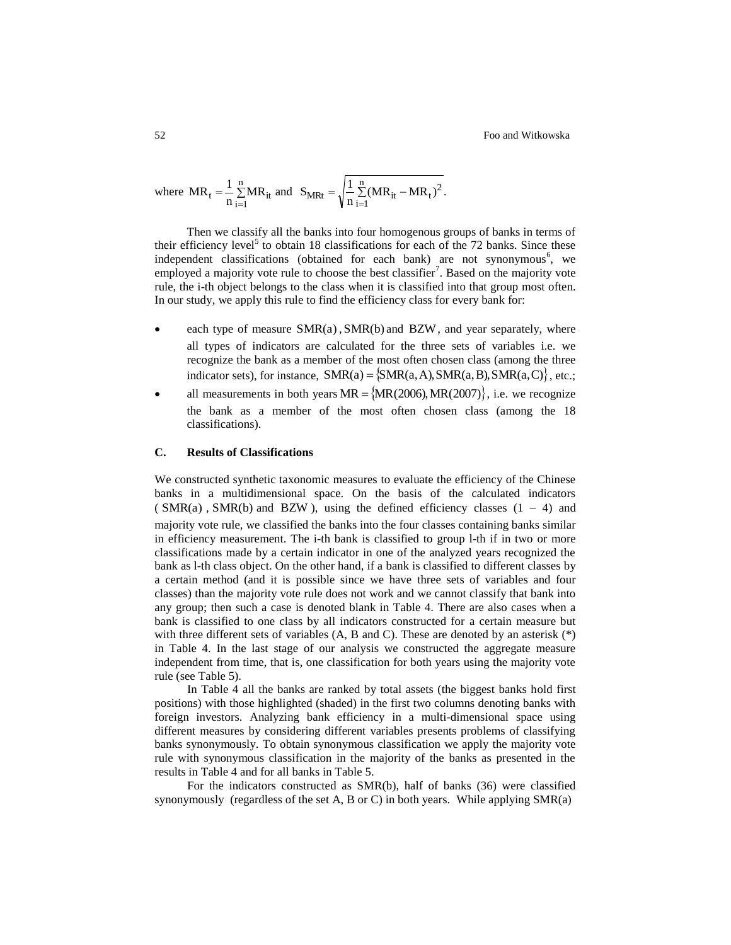where 
$$
MR_t = \frac{1}{n} \sum_{i=1}^{n} MR_{it}
$$
 and  $S_{MRt} = \sqrt{\frac{1}{n} \sum_{i=1}^{n} (MR_{it} - MR_t)^2}$ .

Then we classify all the banks into four homogenous groups of banks in terms of their efficiency level<sup>5</sup> to obtain 18 classifications for each of the 72 banks. Since these independent classifications (obtained for each bank) are not synonymous<sup>6</sup>, we employed a majority vote rule to choose the best classifier<sup>7</sup>. Based on the majority vote rule, the i-th object belongs to the class when it is classified into that group most often. In our study, we apply this rule to find the efficiency class for every bank for:

- each type of measure  $SMR(a)$ ,  $SMR(b)$  and  $BZW$ , and year separately, where all types of indicators are calculated for the three sets of variables i.e. we recognize the bank as a member of the most often chosen class (among the three indicator sets), for instance,  $SMR(a) = \{SMR(a, A), SMR(a, B), SMR(a, C)\},$  etc.;
- all measurements in both years  $MR = \{MR(2006), MR(2007)\}\$ , i.e. we recognize the bank as a member of the most often chosen class (among the 18 classifications).

## **C. Results of Classifications**

We constructed synthetic taxonomic measures to evaluate the efficiency of the Chinese banks in a multidimensional space. On the basis of the calculated indicators  $(SMR(a), SMR(b)$  and BZW), using the defined efficiency classes  $(1 - 4)$  and majority vote rule, we classified the banks into the four classes containing banks similar in efficiency measurement. The i-th bank is classified to group l-th if in two or more classifications made by a certain indicator in one of the analyzed years recognized the bank as l-th class object. On the other hand, if a bank is classified to different classes by a certain method (and it is possible since we have three sets of variables and four classes) than the majority vote rule does not work and we cannot classify that bank into any group; then such a case is denoted blank in Table 4. There are also cases when a bank is classified to one class by all indicators constructed for a certain measure but with three different sets of variables (A, B and C). These are denoted by an asterisk (\*) in Table 4. In the last stage of our analysis we constructed the aggregate measure independent from time, that is, one classification for both years using the majority vote rule (see Table 5).

In Table 4 all the banks are ranked by total assets (the biggest banks hold first positions) with those highlighted (shaded) in the first two columns denoting banks with foreign investors. Analyzing bank efficiency in a multi-dimensional space using different measures by considering different variables presents problems of classifying banks synonymously. To obtain synonymous classification we apply the majority vote rule with synonymous classification in the majority of the banks as presented in the results in Table 4 and for all banks in Table 5.

For the indicators constructed as SMR(b), half of banks (36) were classified synonymously (regardless of the set A, B or C) in both years. While applying SMR(a)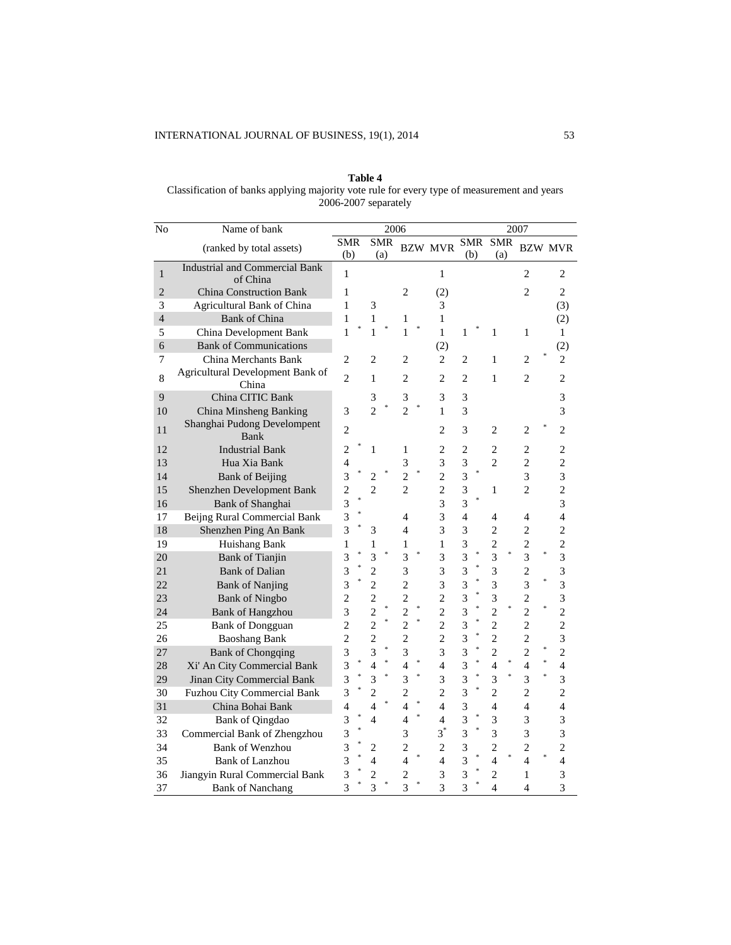| Table 4                                                                                     |
|---------------------------------------------------------------------------------------------|
| Classification of banks applying majority vote rule for every type of measurement and years |
| 2006-2007 separately                                                                        |

| No             | Name of bank                                      |                          |                             | 2006       |                    |                          |                         |        |                          | 2007                     |                          |
|----------------|---------------------------------------------------|--------------------------|-----------------------------|------------|--------------------|--------------------------|-------------------------|--------|--------------------------|--------------------------|--------------------------|
|                | (ranked by total assets)                          | <b>SMR</b><br>(b)        | (a)                         | <b>SMR</b> |                    | <b>BZW MVR</b>           | SMR<br>(b)              |        | <b>SMR</b><br>(a)        |                          | <b>BZW MVR</b>           |
| $\mathbf{1}$   | <b>Industrial and Commercial Bank</b><br>of China | 1                        |                             |            |                    | 1                        |                         |        |                          | $\overline{c}$           | $\overline{c}$           |
| $\overline{c}$ | <b>China Construction Bank</b>                    | $\mathbf{1}$             |                             |            | $\overline{c}$     | (2)                      |                         |        |                          | $\overline{c}$           | $\overline{2}$           |
| 3              | Agricultural Bank of China                        | 1                        | 3                           |            |                    | 3                        |                         |        |                          |                          | (3)                      |
| $\overline{4}$ | <b>Bank of China</b>                              | $\mathbf{1}$             | $\mathbf{1}$                |            | $\mathbf{1}$       | $\mathbf{1}$             |                         |        |                          |                          | (2)                      |
| 5              | China Development Bank                            | $\mathbf{1}$             | $\mathbf{1}$                |            | $\mathbf{1}$       | $\mathbf{1}$             | $\mathbf{1}$            |        | $\mathbf{1}$             | $\mathbf{1}$             | $\mathbf{1}$             |
| $\overline{6}$ | <b>Bank of Communications</b>                     |                          |                             |            |                    | (2)                      |                         |        |                          |                          | (2)                      |
| $\tau$         | China Merchants Bank                              | $\mathbf{2}$             | $\overline{2}$              |            | $\overline{2}$     | $\overline{c}$           | $\overline{c}$          |        | $\mathbf{1}$             | $\mathfrak{2}$           | 2                        |
| 8              | Agricultural Development Bank of<br>China         | $\overline{c}$           | 1                           |            | $\overline{2}$     | $\overline{c}$           | $\overline{c}$          |        | 1                        | $\overline{c}$           | $\overline{c}$           |
| 9              | China CITIC Bank                                  |                          | 3                           |            | 3                  | 3                        | 3                       |        |                          |                          | 3                        |
| 10             | China Minsheng Banking                            | 3                        | $\mathcal{D}_{\mathcal{A}}$ | $\ast$     | *<br>$\mathcal{D}$ | $\mathbf{1}$             | 3                       |        |                          |                          | 3                        |
| 11             | Shanghai Pudong Develompent<br>Bank               | $\overline{c}$           |                             |            |                    | $\mathfrak{D}$           | 3                       |        | $\overline{2}$           | $\overline{c}$           | $\overline{c}$           |
| 12             | <b>Industrial Bank</b>                            | $\overline{c}$           | $\mathbf{1}$                |            | $\mathbf{1}$       | $\overline{c}$           | $\overline{c}$          |        | $\overline{c}$           | $\overline{2}$           | $\overline{2}$           |
| 13             | Hua Xia Bank                                      | 4                        |                             |            | 3                  | 3                        | $\overline{3}$          |        | $\overline{2}$           | $\overline{c}$           | $\overline{c}$           |
| 14             | <b>Bank of Beijing</b>                            | $\overline{3}$           | $\overline{c}$              | $\ast$     | $\overline{c}$     | $\overline{c}$           | $\overline{3}$          | ×      |                          | 3                        | $\overline{3}$           |
| 15             | Shenzhen Development Bank                         | $\overline{c}$           | $\overline{2}$              |            | $\overline{2}$     | $\overline{2}$           | 3                       |        | 1                        | $\overline{c}$           | $\overline{c}$           |
| 16             | <b>Bank of Shanghai</b>                           | $\overline{3}$           |                             |            |                    | 3                        | 3                       |        |                          |                          | 3                        |
| 17             | Beijng Rural Commercial Bank                      | 3                        |                             |            | $\overline{4}$     | $\overline{3}$           | $\overline{4}$          |        | $\overline{4}$           | $\overline{4}$           | $\overline{4}$           |
| 18             | Shenzhen Ping An Bank                             | $\overline{3}$           | 3                           |            | $\overline{4}$     | 3                        | 3                       |        | $\overline{c}$           | $\overline{c}$           | $\overline{c}$           |
| 19             | Huishang Bank                                     | 1                        | 1                           |            | $\mathbf{1}$       | 1                        | 3                       |        | $\overline{c}$           | $\overline{c}$           | $\overline{c}$           |
| 20             | <b>Bank of Tianjin</b>                            | $\overline{3}$           | $\overline{3}$              | ×          | $\overline{3}$     | 3                        | $\overline{3}$          | ×      | $\overline{\mathbf{3}}$  | $\overline{3}$           | $\overline{3}$           |
| 21             | <b>Bank of Dalian</b>                             | 3                        | $\overline{c}$              |            | 3                  | 3                        | 3                       |        | 3                        | $\overline{c}$           | 3                        |
| 22             | <b>Bank of Nanjing</b>                            | 3                        | $\overline{c}$              |            | $\overline{c}$     | $\overline{3}$           | 3                       | ×      | 3                        | $\overline{3}$           | $\ast$<br>$\overline{3}$ |
| 23             | <b>Bank of Ningbo</b>                             | $\overline{c}$           | $\overline{c}$              |            | $\overline{c}$     | $\overline{c}$           | 3                       |        | 3                        | $\overline{c}$           | 3                        |
| 24             | <b>Bank of Hangzhou</b>                           | $\overline{\mathbf{3}}$  | $\overline{c}$              | $\ast$     | $\overline{c}$     | $\overline{c}$           | $\overline{3}$          | $\ast$ | $\ast$<br>$\overline{c}$ | $\overline{c}$           | $\overline{c}$           |
| 25             | <b>Bank of Dongguan</b>                           | $\overline{c}$           | $\overline{c}$              | ×          | $\overline{c}$     | $\overline{c}$           | 3                       | ×      | $\overline{c}$           | $\overline{c}$           | $\overline{c}$           |
| 26             | <b>Baoshang Bank</b>                              | $\overline{c}$           | $\overline{c}$              |            | $\overline{c}$     | $\overline{c}$           | 3                       | ×      | $\overline{c}$           | $\overline{c}$           | 3                        |
| 27             | <b>Bank of Chongqing</b>                          | 3                        | 3                           |            | 3                  | $\overline{3}$           | 3                       |        | $\overline{c}$           | $\overline{c}$           | $\overline{c}$           |
| 28             | Xi' An City Commercial Bank                       | 3                        | $\overline{4}$              | $\ast$     | $\overline{4}$     | $\overline{\mathcal{L}}$ | 3                       | *      | $\overline{4}$           | $\overline{4}$           | $\ast$<br>$\overline{4}$ |
| 29             | Jinan City Commercial Bank                        | 3                        | 3                           | ¥          | 3                  | 3                        | 3                       | ¥      | *<br>3                   | $\overline{3}$           | $\ast$<br>3              |
| 30             | <b>Fuzhou City Commercial Bank</b>                | *<br>$\overline{3}$      | $\overline{c}$              |            | $\overline{c}$     | $\overline{c}$           | $\overline{3}$          | *      | $\overline{c}$           | $\overline{c}$           | $\overline{c}$           |
| 31             | China Bohai Bank                                  | $\overline{4}$           | 4                           |            | $\overline{4}$     | $\overline{\mathcal{L}}$ | 3                       |        | $\overline{4}$           | $\overline{4}$           | $\overline{4}$           |
| 32             | <b>Bank of Qingdao</b>                            | 3                        | $\overline{4}$              |            | $\overline{4}$     | $\overline{\mathbf{4}}$  | 3                       |        | 3                        | 3                        | 3                        |
| 33             | Commercial Bank of Zhengzhou                      | 3                        |                             |            | $\overline{3}$     | $3^*$                    | $\overline{3}$          | ¥      | $\overline{3}$           | 3                        | 3                        |
| 34             | <b>Bank of Wenzhou</b>                            | 3                        | 2                           |            | $\overline{c}$     | $\overline{c}$           | 3                       |        | $\overline{c}$           | $\overline{c}$           | $\overline{c}$           |
| 35             | <b>Bank of Lanzhou</b>                            | 3                        | $\overline{\mathbf{4}}$     |            | $\overline{4}$     | $\overline{4}$           | 3                       |        | $\overline{4}$           | $\overline{\mathbf{4}}$  | $\overline{4}$           |
| 36             | Jiangyin Rural Commercial Bank                    | 3                        | $\overline{c}$              |            | $\overline{c}$     | 3                        | $\overline{\mathbf{3}}$ |        | $\overline{c}$           | $\mathbf{1}$             | 3                        |
| 37             | <b>Bank of Nanchang</b>                           | $\ast$<br>$\overline{3}$ | $\overline{3}$              |            | $\overline{3}$     | $\overline{3}$           | $\overline{3}$          | *.     | $\overline{4}$           | $\overline{\mathcal{L}}$ | $\overline{3}$           |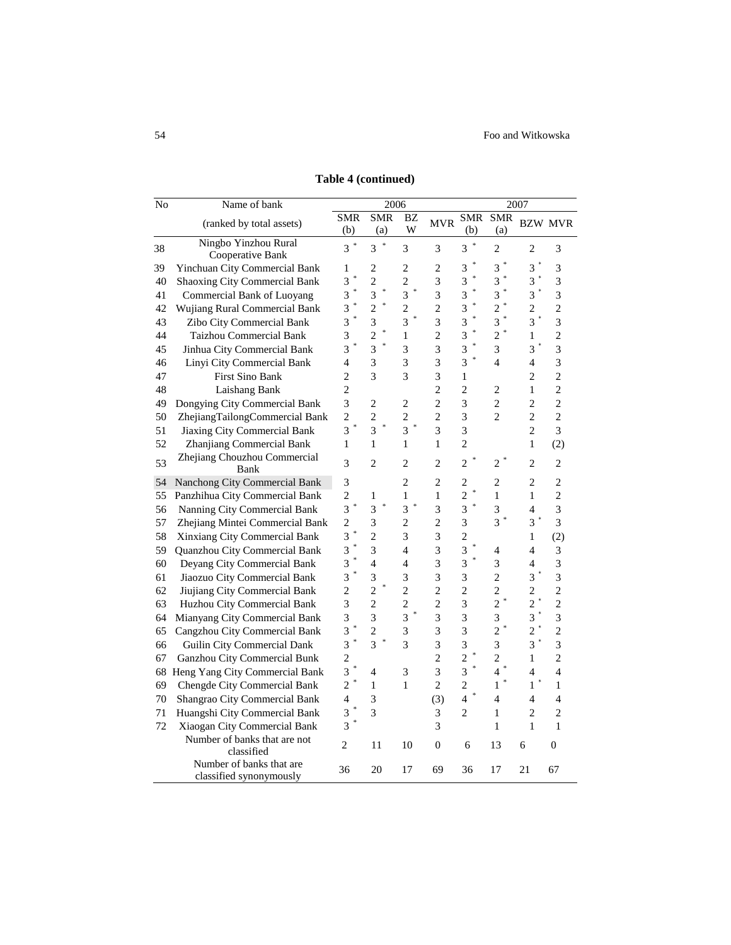| No     | Name of bank                                        |                   | 2006                |                          |                | 2007           |                          |                          |                             |
|--------|-----------------------------------------------------|-------------------|---------------------|--------------------------|----------------|----------------|--------------------------|--------------------------|-----------------------------|
|        | (ranked by total assets)                            | <b>SMR</b><br>(b) | <b>SMR</b><br>(a)   | BZ<br>W                  | <b>MVR</b>     | SMR<br>(b)     | <b>SMR</b><br>(a)        |                          | <b>BZW MVR</b>              |
| 38     | Ningbo Yinzhou Rural<br>Cooperative Bank            | $3^*$             | ×<br>$\overline{3}$ | 3                        | 3              | 3              | $\overline{c}$           | 2                        | 3                           |
| 39     | Yinchuan City Commercial Bank                       | 1                 | 2                   | 2                        | $\overline{c}$ | 3              | $\overline{3}$           | 3                        | 3                           |
| 40     | Shaoxing City Commercial Bank                       | 3                 | $\overline{c}$      | $\overline{c}$           | 3              | 3              | $\ast$<br>$\overline{3}$ | 3                        | $\overline{3}$              |
| 41     | Commercial Bank of Luoyang                          | ×<br>3            | $\ast$<br>3         | 3                        | 3              | 3              | $\ast$<br>3              | $\overline{3}$           | 3                           |
| 42     | Wujiang Rural Commercial Bank                       | 3                 | $\overline{c}$      | $\overline{c}$           | $\overline{c}$ | 3              | $\overline{c}$           | $\overline{c}$           | $\overline{2}$              |
| 43     | Zibo City Commercial Bank                           | ÷<br>3            | 3                   | 3                        | 3              | 3              | *<br>3                   | 3                        | 3                           |
| 44     | Taizhou Commercial Bank                             | 3                 | $\overline{c}$      | 1                        | $\overline{c}$ | 3              | $\ast$<br>$\overline{c}$ | 1                        | $\overline{c}$              |
| 45     | Jinhua City Commercial Bank                         | ∗<br>3            | 3                   | 3                        | 3              | 3              | 3                        | 3                        | 3                           |
| 46     | Linyi City Commercial Bank                          | 4                 | 3                   | 3                        | 3              | 3              | $\overline{\mathcal{L}}$ | 4                        | 3                           |
| 47     | <b>First Sino Bank</b>                              | $\overline{2}$    | 3                   | 3                        | 3              | 1              |                          | $\overline{c}$           | $\overline{c}$              |
| 48     | Laishang Bank                                       | $\overline{c}$    |                     |                          | $\overline{c}$ | $\overline{c}$ | 2                        | 1                        | $\overline{2}$              |
| 49     | Dongying City Commercial Bank                       | $\overline{3}$    | $\overline{c}$      | $\sqrt{2}$               | $\overline{c}$ | 3              | $\overline{c}$           | $\overline{c}$           | $\overline{2}$              |
| $50\,$ | ZhejiangTailongCommercial Bank                      | $\overline{c}$    | $\overline{c}$      | $\overline{c}$           | $\overline{c}$ | 3              | $\overline{c}$           | $\overline{c}$           | $\overline{2}$              |
| 51     | Jiaxing City Commercial Bank                        | ŧ<br>3            | $\ast$<br>3         | ÷<br>$\overline{3}$      | 3              | 3              |                          | $\overline{c}$           | 3                           |
| 52     | Zhanjiang Commercial Bank                           | $\mathbf{1}$      | $\mathbf{1}$        | $\mathbf{1}$             | $\mathbf{1}$   | $\overline{c}$ |                          | $\mathbf{1}$             | (2)                         |
| 53     | Zhejiang Chouzhou Commercial<br>Bank                | 3                 | $\overline{2}$      | $\overline{c}$           | $\overline{c}$ | $\overline{c}$ | 2                        | $\overline{c}$           | $\overline{c}$              |
| 54     | Nanchong City Commercial Bank                       | 3                 |                     | 2                        | 2              | $\overline{c}$ | 2                        | $\overline{c}$           | $\overline{c}$              |
| 55     | Panzhihua City Commercial Bank                      | $\overline{c}$    | $\mathbf{1}$        | $\mathbf{1}$             | $\mathbf{1}$   | $\overline{c}$ | $\mathbf{1}$             | 1                        | $\overline{c}$              |
| 56     | Nanning City Commercial Bank                        | $\overline{3}$    | *<br>$\overline{3}$ | 3                        | 3              | 3              | 3                        | 4                        | 3                           |
| 57     | Zhejiang Mintei Commercial Bank                     | $\overline{c}$    | 3                   | $\overline{c}$           | $\overline{c}$ | 3              | $\overline{3}$           | $\overline{3}$           | 3                           |
| 58     | Xinxiang City Commercial Bank                       | 3                 | $\overline{c}$      | 3                        | 3              | $\overline{c}$ |                          | 1                        | (2)                         |
| 59     | Quanzhou City Commercial Bank                       | 3                 | 3                   | $\overline{\mathcal{L}}$ | 3              | 3              | 4                        | $\overline{\mathcal{L}}$ | $\ensuremath{\mathfrak{Z}}$ |
| 60     | Deyang City Commercial Bank                         | $\ast$<br>3       | $\overline{4}$      | $\overline{\mathcal{L}}$ | $\overline{3}$ | ☀<br>3         | 3                        | 4                        | 3                           |
| 61     | Jiaozuo City Commercial Bank                        | 3                 | 3                   | 3                        | 3              | 3              | $\overline{c}$           | 3                        | 3                           |
| 62     | Jiujiang City Commercial Bank                       | $\overline{c}$    | $\overline{c}$      | $\overline{c}$           | $\overline{c}$ | $\overline{c}$ | $\overline{c}$           | $\overline{c}$           | $\overline{c}$              |
| 63     | Huzhou City Commercial Bank                         | 3                 | $\overline{2}$      | $\overline{c}$           | $\overline{c}$ | 3              | $\overline{c}$           | $\overline{c}$           | $\overline{c}$              |
| 64     | Mianyang City Commercial Bank                       | 3                 | 3                   | 3                        | 3              | 3              | 3                        | 3                        | $\overline{3}$              |
| 65     | Cangzhou City Commercial Bank                       | 3                 | $\overline{c}$      | 3                        | 3              | 3              | $\overline{c}$           | $\overline{c}$           | $\overline{c}$              |
| 66     | Guilin City Commercial Dank                         | 3                 | ∗<br>3              | 3                        | 3              | 3              | 3                        | 3                        | 3                           |
| 67     | Ganzhou City Commercial Bunk                        | $\overline{c}$    |                     |                          | $\overline{c}$ | $\overline{c}$ | $\overline{c}$           | 1                        | $\overline{2}$              |
|        | 68 Heng Yang City Commercial Bank                   | 3                 | 4                   | 3                        | 3              | 3              | $\overline{4}$           | 4                        | $\overline{4}$              |
| 69     | <b>Chengde City Commercial Bank</b>                 | $\overline{c}$    | $\mathbf{1}$        | $\mathbf{1}$             | $\overline{c}$ | $\overline{c}$ | $\mathbf{1}$             | $\mathbf{1}$             | $\mathbf{1}$                |
| 70     | Shangrao City Commercial Bank                       | 4                 | 3                   |                          | (3)            | 4              | $\overline{4}$           | 4                        | $\overline{4}$              |
| 71     | Huangshi City Commercial Bank                       | 3                 | 3                   |                          | 3              | $\overline{2}$ | 1                        | $\overline{c}$           | $\overline{c}$              |
| 72     | Xiaogan City Commercial Bank                        | 3                 |                     |                          | 3              |                | $\mathbf{1}$             | $\mathbf{1}$             | $\mathbf{1}$                |
|        | Number of banks that are not<br>classified          | 2                 | 11                  | 10                       | $\mathbf{0}$   | 6              | 13                       | 6                        | $\overline{0}$              |
|        | Number of banks that are<br>classified synonymously | 36                | 20                  | 17                       | 69             | 36             | 17                       | 21                       | 67                          |

**Table 4 (continued)**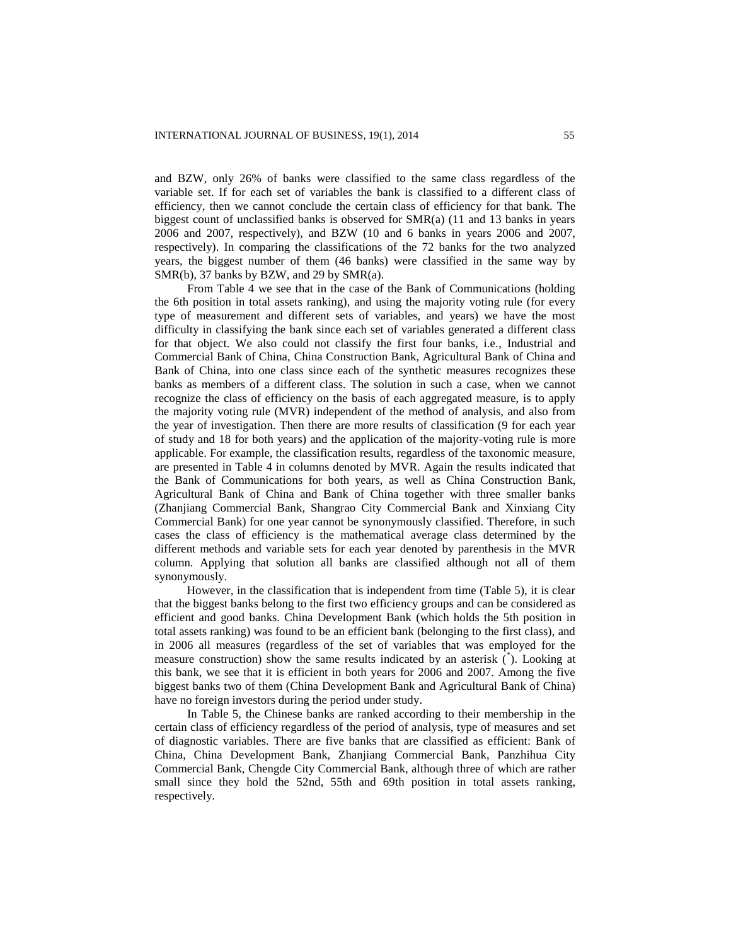and BZW, only 26% of banks were classified to the same class regardless of the variable set. If for each set of variables the bank is classified to a different class of efficiency, then we cannot conclude the certain class of efficiency for that bank. The biggest count of unclassified banks is observed for SMR(a) (11 and 13 banks in years 2006 and 2007, respectively), and BZW (10 and 6 banks in years 2006 and 2007, respectively). In comparing the classifications of the 72 banks for the two analyzed years, the biggest number of them (46 banks) were classified in the same way by SMR(b), 37 banks by BZW, and 29 by SMR(a).

From Table 4 we see that in the case of the Bank of Communications (holding the 6th position in total assets ranking), and using the majority voting rule (for every type of measurement and different sets of variables, and years) we have the most difficulty in classifying the bank since each set of variables generated a different class for that object. We also could not classify the first four banks, i.e., Industrial and Commercial Bank of China, China Construction Bank, Agricultural Bank of China and Bank of China, into one class since each of the synthetic measures recognizes these banks as members of a different class. The solution in such a case, when we cannot recognize the class of efficiency on the basis of each aggregated measure, is to apply the majority voting rule (MVR) independent of the method of analysis, and also from the year of investigation. Then there are more results of classification (9 for each year of study and 18 for both years) and the application of the majority-voting rule is more applicable. For example, the classification results, regardless of the taxonomic measure, are presented in Table 4 in columns denoted by MVR. Again the results indicated that the Bank of Communications for both years, as well as China Construction Bank, Agricultural Bank of China and Bank of China together with three smaller banks (Zhanjiang Commercial Bank, Shangrao City Commercial Bank and Xinxiang City Commercial Bank) for one year cannot be synonymously classified. Therefore, in such cases the class of efficiency is the mathematical average class determined by the different methods and variable sets for each year denoted by parenthesis in the MVR column. Applying that solution all banks are classified although not all of them synonymously.

However, in the classification that is independent from time (Table 5), it is clear that the biggest banks belong to the first two efficiency groups and can be considered as efficient and good banks. China Development Bank (which holds the 5th position in total assets ranking) was found to be an efficient bank (belonging to the first class), and in 2006 all measures (regardless of the set of variables that was employed for the measure construction) show the same results indicated by an asterisk  $(\check{\,})$ . Looking at this bank, we see that it is efficient in both years for 2006 and 2007. Among the five biggest banks two of them (China Development Bank and Agricultural Bank of China) have no foreign investors during the period under study.

In Table 5, the Chinese banks are ranked according to their membership in the certain class of efficiency regardless of the period of analysis, type of measures and set of diagnostic variables. There are five banks that are classified as efficient: Bank of China, China Development Bank, Zhanjiang Commercial Bank, Panzhihua City Commercial Bank, Chengde City Commercial Bank, although three of which are rather small since they hold the 52nd, 55th and 69th position in total assets ranking, respectively.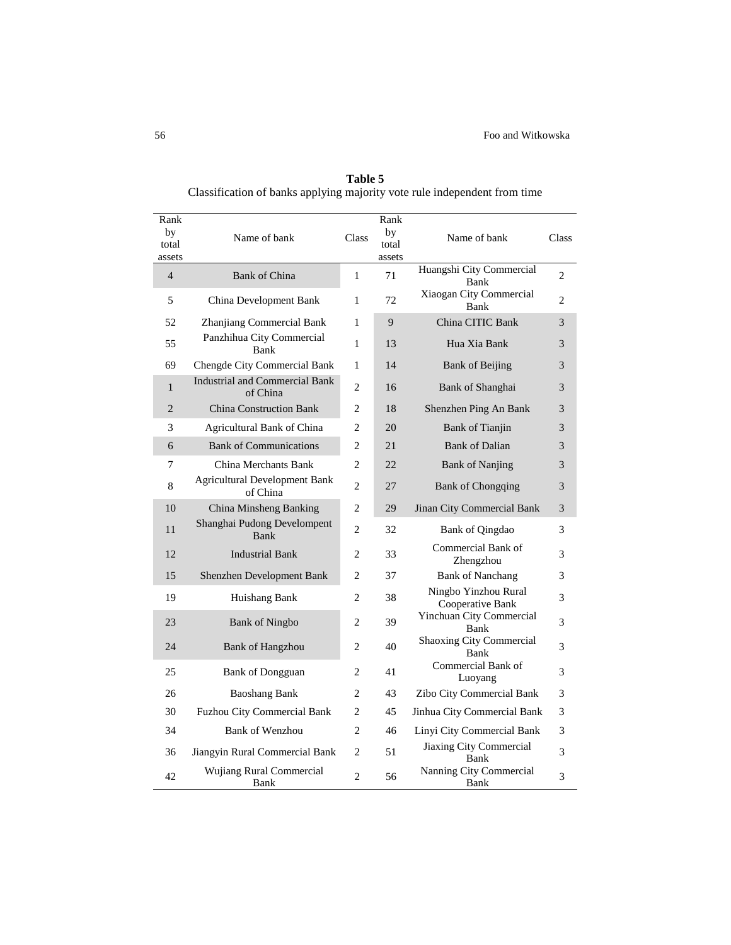| Rank<br>by<br>total<br>assets | Name of bank                                      | Class          | Rank<br>by<br>total<br>assets | Name of bank                             | Class          |
|-------------------------------|---------------------------------------------------|----------------|-------------------------------|------------------------------------------|----------------|
| $\overline{4}$                | <b>Bank of China</b>                              | 1              | 71                            | Huangshi City Commercial<br>Bank         | $\overline{c}$ |
| 5                             | China Development Bank                            | $\mathbf{1}$   | 72                            | Xiaogan City Commercial<br>Bank          | 2              |
| 52                            | Zhanjiang Commercial Bank                         | $\mathbf{1}$   | 9                             | China CITIC Bank                         | 3              |
| 55                            | Panzhihua City Commercial<br>Bank                 | 1              | 13                            | Hua Xia Bank                             | 3              |
| 69                            | Chengde City Commercial Bank                      | 1              | 14                            | <b>Bank of Beijing</b>                   | 3              |
| $\mathbf{1}$                  | <b>Industrial and Commercial Bank</b><br>of China | $\overline{c}$ | 16                            | Bank of Shanghai                         | 3              |
| $\overline{2}$                | <b>China Construction Bank</b>                    | 2              | 18                            | Shenzhen Ping An Bank                    | 3              |
| 3                             | Agricultural Bank of China                        | 2              | 20                            | Bank of Tianjin                          | 3              |
| 6                             | <b>Bank of Communications</b>                     | $\overline{c}$ | 2.1                           | <b>Bank of Dalian</b>                    | 3              |
| 7                             | China Merchants Bank                              | 2              | 22                            | <b>Bank of Nanjing</b>                   | 3              |
| 8                             | <b>Agricultural Development Bank</b><br>of China  | $\overline{c}$ | 27                            | <b>Bank of Chongqing</b>                 | 3              |
| 10                            | China Minsheng Banking                            | $\overline{c}$ | 29                            | Jinan City Commercial Bank               | 3              |
| 11                            | Shanghai Pudong Develompent<br>Bank               | $\overline{c}$ | 32                            | <b>Bank of Qingdao</b>                   | 3              |
| 12                            | <b>Industrial Bank</b>                            | $\overline{c}$ | 33                            | Commercial Bank of<br>Zhengzhou          | 3              |
| 15                            | Shenzhen Development Bank                         | 2              | 37                            | <b>Bank of Nanchang</b>                  | 3              |
| 19                            | Huishang Bank                                     | 2              | 38                            | Ningbo Yinzhou Rural<br>Cooperative Bank | 3              |
| 23                            | <b>Bank of Ningbo</b>                             | 2              | 39                            | Yinchuan City Commercial<br>Bank         | 3              |
| 24                            | <b>Bank of Hangzhou</b>                           | $\overline{c}$ | 40                            | Shaoxing City Commercial<br>Bank         | 3              |
| 25                            | <b>Bank of Dongguan</b>                           | 2              | 41                            | Commercial Bank of<br>Luoyang            | 3              |
| 26                            | <b>Baoshang Bank</b>                              | 2              | 43                            | Zibo City Commercial Bank                | 3              |
| 30                            | <b>Fuzhou City Commercial Bank</b>                | 2              | 45                            | Jinhua City Commercial Bank              | 3              |
| 34                            | <b>Bank of Wenzhou</b>                            | 2              | 46                            | Linyi City Commercial Bank               | 3              |
| 36                            | Jiangyin Rural Commercial Bank                    | 2              | 51                            | Jiaxing City Commercial<br>Bank          | 3              |
| 42                            | <b>Wujiang Rural Commercial</b><br>Bank           | $\overline{c}$ | 56                            | Nanning City Commercial<br>Bank          | 3              |

**Table 5** Classification of banks applying majority vote rule independent from time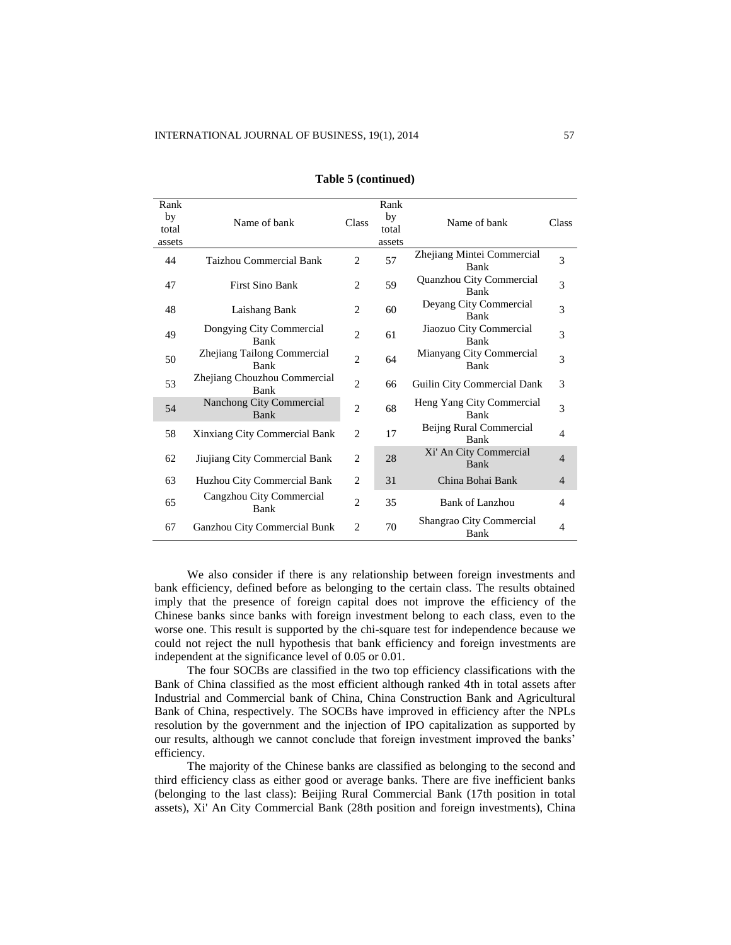| Rank<br>by<br>total | Name of bank                               | Class          | Rank<br>by<br>total | Name of bank                            | Class          |
|---------------------|--------------------------------------------|----------------|---------------------|-----------------------------------------|----------------|
| assets              |                                            |                | assets              |                                         |                |
| 44                  | Taizhou Commercial Bank                    | $\overline{2}$ | 57                  | Zhejiang Mintei Commercial<br>Bank      | 3              |
| 47                  | <b>First Sino Bank</b>                     | $\overline{2}$ | 59                  | Quanzhou City Commercial<br>Bank        | 3              |
| 48                  | Laishang Bank                              | 2              | 60                  | Deyang City Commercial<br>Bank          | 3              |
| 49                  | Dongying City Commercial<br>Bank           | $\overline{c}$ | 61                  | Jiaozuo City Commercial<br>Bank         | 3              |
| 50                  | Zhejiang Tailong Commercial<br><b>Bank</b> | $\overline{2}$ | 64                  | Mianyang City Commercial<br><b>Bank</b> | 3              |
| 53                  | Zhejiang Chouzhou Commercial<br>Bank       | $\overline{2}$ | 66                  | Guilin City Commercial Dank             | 3              |
| 54                  | Nanchong City Commercial<br>Bank           | $\overline{c}$ | 68                  | Heng Yang City Commercial<br>Bank       | 3              |
| 58                  | Xinxiang City Commercial Bank              | $\overline{c}$ | 17                  | Beijng Rural Commercial<br><b>Bank</b>  | $\overline{4}$ |
| 62                  | Jiujiang City Commercial Bank              | 2              | 28                  | Xi' An City Commercial<br>Bank          | $\overline{4}$ |
| 63                  | Huzhou City Commercial Bank                | $\overline{2}$ | 31                  | China Bohai Bank                        | $\overline{4}$ |
| 65                  | Cangzhou City Commercial<br>Bank           | $\overline{2}$ | 35                  | Bank of Lanzhou                         | $\overline{4}$ |
| 67                  | Ganzhou City Commercial Bunk               | 2              | 70                  | Shangrao City Commercial<br>Bank        | $\overline{4}$ |

#### **Table 5 (continued)**

We also consider if there is any relationship between foreign investments and bank efficiency, defined before as belonging to the certain class. The results obtained imply that the presence of foreign capital does not improve the efficiency of the Chinese banks since banks with foreign investment belong to each class, even to the worse one. This result is supported by the chi-square test for independence because we could not reject the null hypothesis that bank efficiency and foreign investments are independent at the significance level of 0.05 or 0.01.

The four SOCBs are classified in the two top efficiency classifications with the Bank of China classified as the most efficient although ranked 4th in total assets after Industrial and Commercial bank of China, China Construction Bank and Agricultural Bank of China, respectively. The SOCBs have improved in efficiency after the NPLs resolution by the government and the injection of IPO capitalization as supported by our results, although we cannot conclude that foreign investment improved the banks' efficiency.

The majority of the Chinese banks are classified as belonging to the second and third efficiency class as either good or average banks. There are five inefficient banks (belonging to the last class): Beijing Rural Commercial Bank (17th position in total assets), Xi' An City Commercial Bank (28th position and foreign investments), China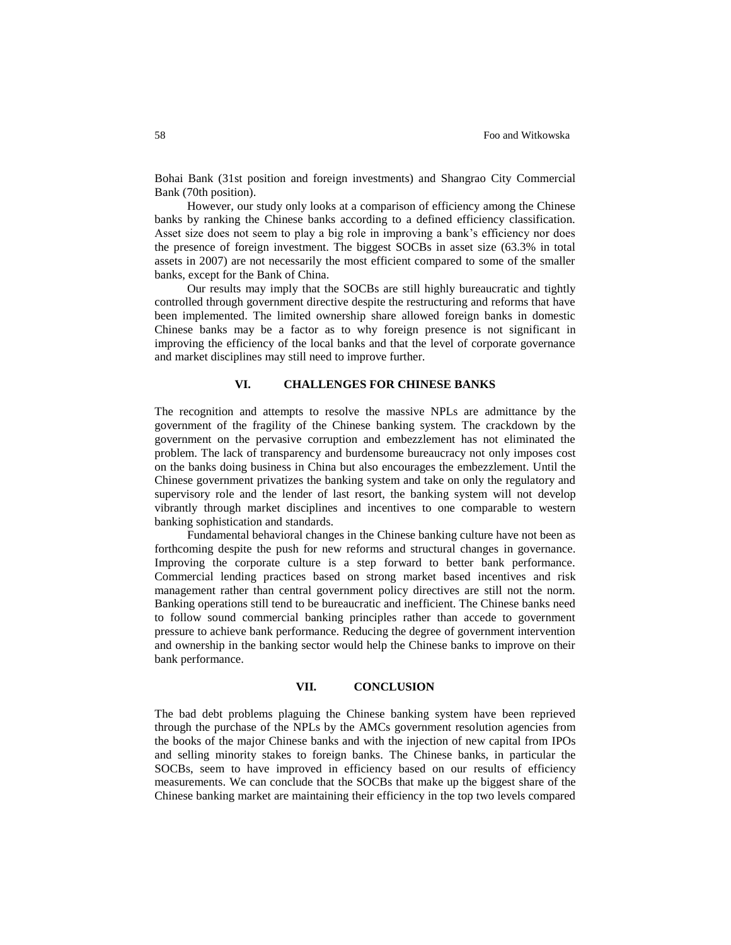Bohai Bank (31st position and foreign investments) and Shangrao City Commercial Bank (70th position).

However, our study only looks at a comparison of efficiency among the Chinese banks by ranking the Chinese banks according to a defined efficiency classification. Asset size does not seem to play a big role in improving a bank's efficiency nor does the presence of foreign investment. The biggest SOCBs in asset size (63.3% in total assets in 2007) are not necessarily the most efficient compared to some of the smaller banks, except for the Bank of China.

Our results may imply that the SOCBs are still highly bureaucratic and tightly controlled through government directive despite the restructuring and reforms that have been implemented. The limited ownership share allowed foreign banks in domestic Chinese banks may be a factor as to why foreign presence is not significant in improving the efficiency of the local banks and that the level of corporate governance and market disciplines may still need to improve further.

## **VI. CHALLENGES FOR CHINESE BANKS**

The recognition and attempts to resolve the massive NPLs are admittance by the government of the fragility of the Chinese banking system. The crackdown by the government on the pervasive corruption and embezzlement has not eliminated the problem. The lack of transparency and burdensome bureaucracy not only imposes cost on the banks doing business in China but also encourages the embezzlement. Until the Chinese government privatizes the banking system and take on only the regulatory and supervisory role and the lender of last resort, the banking system will not develop vibrantly through market disciplines and incentives to one comparable to western banking sophistication and standards.

Fundamental behavioral changes in the Chinese banking culture have not been as forthcoming despite the push for new reforms and structural changes in governance. Improving the corporate culture is a step forward to better bank performance. Commercial lending practices based on strong market based incentives and risk management rather than central government policy directives are still not the norm. Banking operations still tend to be bureaucratic and inefficient. The Chinese banks need to follow sound commercial banking principles rather than accede to government pressure to achieve bank performance. Reducing the degree of government intervention and ownership in the banking sector would help the Chinese banks to improve on their bank performance.

## **VII. CONCLUSION**

The bad debt problems plaguing the Chinese banking system have been reprieved through the purchase of the NPLs by the AMCs government resolution agencies from the books of the major Chinese banks and with the injection of new capital from IPOs and selling minority stakes to foreign banks. The Chinese banks, in particular the SOCBs, seem to have improved in efficiency based on our results of efficiency measurements. We can conclude that the SOCBs that make up the biggest share of the Chinese banking market are maintaining their efficiency in the top two levels compared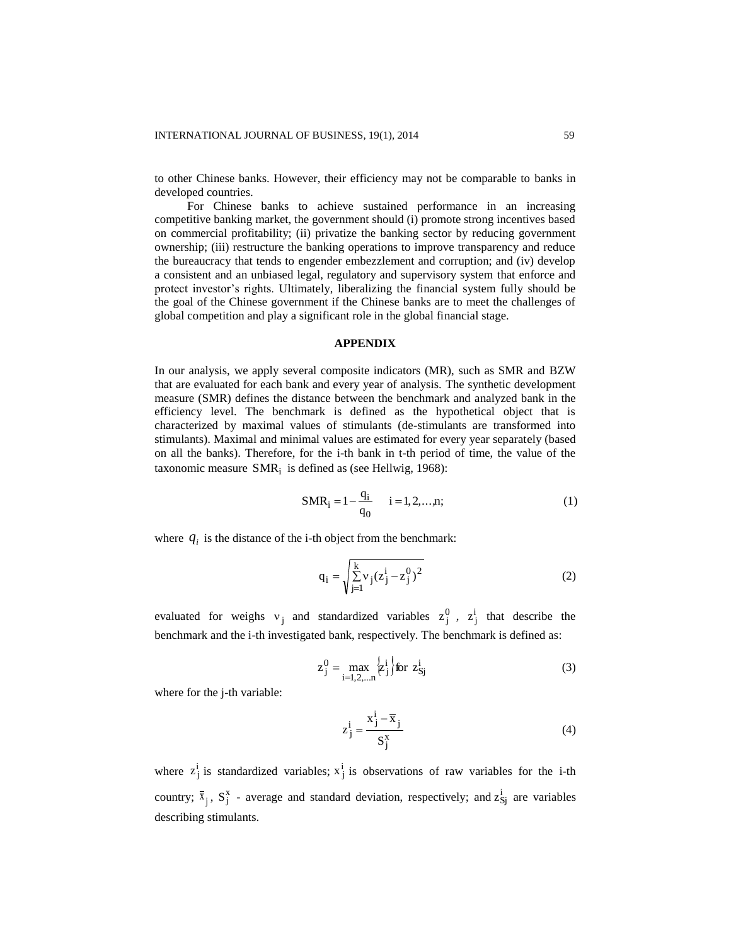to other Chinese banks. However, their efficiency may not be comparable to banks in developed countries.

For Chinese banks to achieve sustained performance in an increasing competitive banking market, the government should (i) promote strong incentives based on commercial profitability; (ii) privatize the banking sector by reducing government ownership; (iii) restructure the banking operations to improve transparency and reduce the bureaucracy that tends to engender embezzlement and corruption; and (iv) develop a consistent and an unbiased legal, regulatory and supervisory system that enforce and protect investor's rights. Ultimately, liberalizing the financial system fully should be the goal of the Chinese government if the Chinese banks are to meet the challenges of global competition and play a significant role in the global financial stage.

### **APPENDIX**

In our analysis, we apply several composite indicators (MR), such as SMR and BZW that are evaluated for each bank and every year of analysis. The synthetic development measure (SMR) defines the distance between the benchmark and analyzed bank in the efficiency level. The benchmark is defined as the hypothetical object that is characterized by maximal values of stimulants (de-stimulants are transformed into stimulants). Maximal and minimal values are estimated for every year separately (based on all the banks). Therefore, for the i-th bank in t-th period of time, the value of the taxonomic measure SMR<sub>i</sub> is defined as (see Hellwig, 1968):

$$
SMR_i = 1 - \frac{q_i}{q_0} \qquad i = 1, 2, ..., n; \tag{1}
$$

where  $q_i$  is the distance of the i-th object from the benchmark:

$$
q_{i} = \sqrt{\sum_{j=1}^{k} v_{j}(z_{j}^{i} - z_{j}^{0})^{2}}
$$
 (2)

evaluated for weighs  $v_j$  and standardized variables  $z_j^0$ ,  $z_j^i$  that describe the benchmark and the i-th investigated bank, respectively. The benchmark is defined as:

$$
z_j^0 = \max_{i=1,2,...n} \left\{ z_j^i \right\} \text{for } z_{Sj}^i \tag{3}
$$

where for the j-th variable:

$$
z_j^i = \frac{x_j^i - \overline{x}_j}{S_j^x}
$$
 (4)

where  $z_j^i$  is standardized variables;  $x_j^i$  is observations of raw variables for the i-th country;  $\bar{x}_j$ ,  $S_j^x$  - average and standard deviation, respectively; and  $z_{sj}^i$  are variables describing stimulants.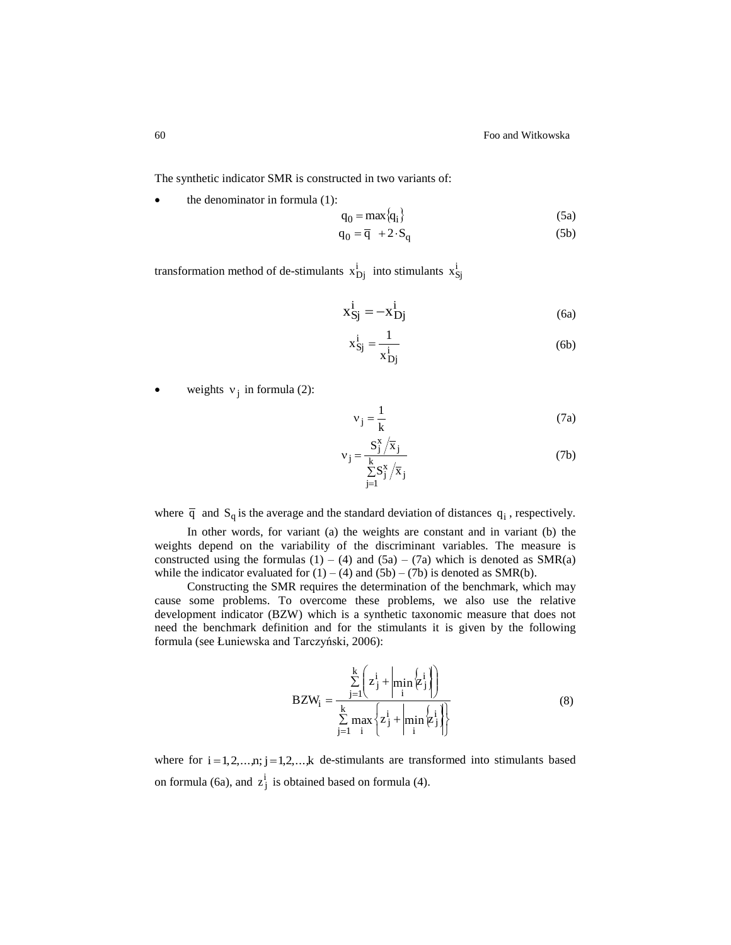The synthetic indicator SMR is constructed in two variants of:

 $\bullet$  the denominator in formula (1):

$$
q_0 = \max\{q_i\} \tag{5a}
$$

$$
q_0 = \overline{q} + 2 \cdot S_q \tag{5b}
$$

transformation method of de-stimulants  $x_{Dj}^i$  into stimulants  $x_{Sj}^i$ 

$$
x_{Sj}^{i} = -x_{Dj}^{i}
$$
 (6a)

$$
x_{\text{Sj}}^i = \frac{1}{x_{\text{Dj}}^i} \tag{6b}
$$

• weights  $v_j$  in formula (2):

$$
v_j = \frac{1}{k} \tag{7a}
$$

$$
v_j = \frac{S_j^x / \overline{x}_j}{\sum_{j=1}^k S_j^x / \overline{x}_j}
$$
 (7b)

where  $\bar{q}$  and  $S_q$  is the average and the standard deviation of distances  $q_i$ , respectively.

In other words, for variant (a) the weights are constant and in variant (b) the weights depend on the variability of the discriminant variables. The measure is constructed using the formulas  $(1) - (4)$  and  $(5a) - (7a)$  which is denoted as SMR(a) while the indicator evaluated for  $(1) - (4)$  and  $(5b) - (7b)$  is denoted as SMR(b).

Constructing the SMR requires the determination of the benchmark, which may cause some problems. To overcome these problems, we also use the relative development indicator (BZW) which is a synthetic taxonomic measure that does not need the benchmark definition and for the stimulants it is given by the following formula (see Łuniewska and Tarczyński, 2006):

$$
BZW_{i} = \frac{\sum_{j=1}^{k} \left( z_{j}^{i} + \left| \min_{i} \left\{ z_{j}^{i} \right\} \right| \right)}{\sum_{j=1}^{k} \max_{i} \left\{ z_{j}^{i} + \left| \min_{i} \left\{ z_{j}^{i} \right\} \right| \right\}}
$$
(8)

where for  $i = 1, 2, \ldots, n$ ;  $j = 1, 2, \ldots, k$  de-stimulants are transformed into stimulants based on formula (6a), and  $z_j^i$  is obtained based on formula (4).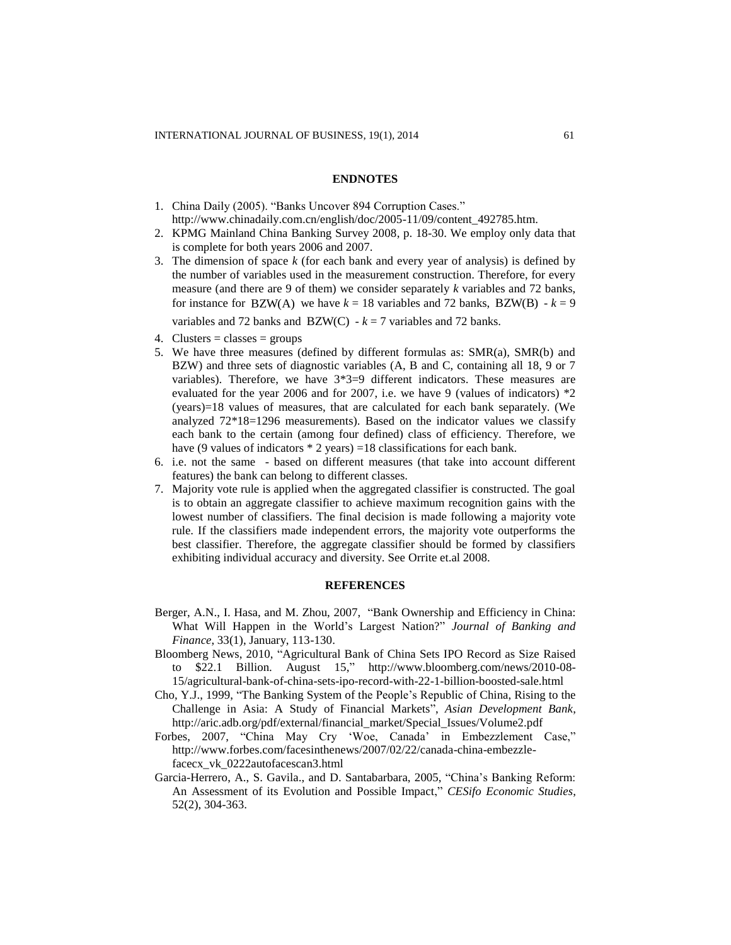#### **ENDNOTES**

- 1. China Daily (2005). "Banks Uncover 894 Corruption Cases." [http://www.chinadaily.com.cn/english/doc/2005-11/09/content\\_492785.htm.](http://www.chinadaily.com.cn/english/doc/2005-11/09/content_492785.htm)
- 2. KPMG Mainland China Banking Survey 2008, p. 18-30. We employ only data that is complete for both years 2006 and 2007.
- 3. The dimension of space *k* (for each bank and every year of analysis) is defined by the number of variables used in the measurement construction. Therefore, for every measure (and there are 9 of them) we consider separately *k* variables and 72 banks, for instance for  $BZW(A)$  we have  $k = 18$  variables and 72 banks,  $BZW(B) - k = 9$ variables and 72 banks and BZW(C)  $-k = 7$  variables and 72 banks.
- 4. Clusters = classes = groups
- 5. We have three measures (defined by different formulas as: SMR(a), SMR(b) and BZW) and three sets of diagnostic variables (A, B and C, containing all 18, 9 or 7 variables). Therefore, we have 3\*3=9 different indicators. These measures are evaluated for the year 2006 and for 2007, i.e. we have 9 (values of indicators)  $*2$ (years)=18 values of measures, that are calculated for each bank separately. (We analyzed  $72*18=1296$  measurements). Based on the indicator values we classify each bank to the certain (among four defined) class of efficiency. Therefore, we have (9 values of indicators  $*$  2 years) =18 classifications for each bank.
- 6. i.e. not the same based on different measures (that take into account different features) the bank can belong to different classes.
- 7. Majority vote rule is applied when the aggregated classifier is constructed. The goal is to obtain an aggregate classifier to achieve maximum recognition gains with the lowest number of classifiers. The final decision is made following a majority vote rule. If the classifiers made independent errors, the majority vote outperforms the best classifier. Therefore, the aggregate classifier should be formed by classifiers exhibiting individual accuracy and diversity. See Orrite et.al 2008.

#### **REFERENCES**

- Berger, A.N., I. Hasa, and M. Zhou, 2007, "Bank Ownership and Efficiency in China: What Will Happen in the World's Largest Nation?" *Journal of Banking and Finance*, 33(1), January, 113-130.
- Bloomberg News, 2010, "Agricultural Bank of China Sets IPO Record as Size Raised to \$22.1 Billion. August 15," http://www.bloomberg.com/news/2010-08- 15/agricultural-bank-of-china-sets-ipo-record-with-22-1-billion-boosted-sale.html
- Cho, Y.J., 1999, "The Banking System of the People's Republic of China, Rising to the Challenge in Asia: A Study of Financial Markets", *Asian Development Bank*, http://aric.adb.org/pdf/external/financial\_market/Special\_Issues/Volume2.pdf
- Forbes, 2007, "China May Cry 'Woe, Canada' in Embezzlement Case," http://www.forbes.com/facesinthenews/2007/02/22/canada-china-embezzlefacecx\_vk\_0222autofacescan3.html
- Garcia-Herrero, A., S. Gavila., and D. Santabarbara, 2005, "China's Banking Reform: An Assessment of its Evolution and Possible Impact," *CESifo Economic Studies*, 52(2), 304-363.